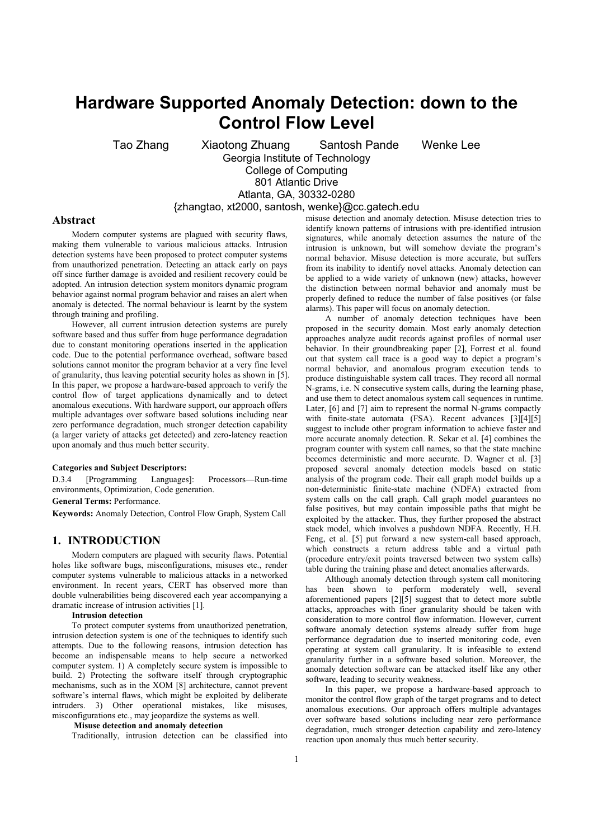# **Hardware Supported Anomaly Detection: down to the Control Flow Level**

Tao Zhang Xiaotong Zhuang Santosh Pande Wenke Lee Georgia Institute of Technology

College of Computing 801 Atlantic Drive Atlanta, GA, 30332-0280

{zhangtao, xt2000, santosh, wenke}@cc.gatech.edu

## **Abstract**

Modern computer systems are plagued with security flaws, making them vulnerable to various malicious attacks. Intrusion detection systems have been proposed to protect computer systems from unauthorized penetration. Detecting an attack early on pays off since further damage is avoided and resilient recovery could be adopted. An intrusion detection system monitors dynamic program behavior against normal program behavior and raises an alert when anomaly is detected. The normal behaviour is learnt by the system through training and profiling.

However, all current intrusion detection systems are purely software based and thus suffer from huge performance degradation due to constant monitoring operations inserted in the application code. Due to the potential performance overhead, software based solutions cannot monitor the program behavior at a very fine level of granularity, thus leaving potential security holes as shown in [5]. In this paper, we propose a hardware-based approach to verify the control flow of target applications dynamically and to detect anomalous executions. With hardware support, our approach offers multiple advantages over software based solutions including near zero performance degradation, much stronger detection capability (a larger variety of attacks get detected) and zero-latency reaction upon anomaly and thus much better security.

# **Categories and Subject Descriptors:**

D.3.4 [Programming Languages]: Processors—Run-time environments, Optimization, Code generation.

**General Terms:** Performance.

**Keywords:** Anomaly Detection, Control Flow Graph, System Call

# **1. INTRODUCTION**

Modern computers are plagued with security flaws. Potential holes like software bugs, misconfigurations, misuses etc., render computer systems vulnerable to malicious attacks in a networked environment. In recent years, CERT has observed more than double vulnerabilities being discovered each year accompanying a dramatic increase of intrusion activities [1].

#### **Intrusion detection**

To protect computer systems from unauthorized penetration, intrusion detection system is one of the techniques to identify such attempts. Due to the following reasons, intrusion detection has become an indispensable means to help secure a networked computer system. 1) A completely secure system is impossible to build. 2) Protecting the software itself through cryptographic mechanisms, such as in the XOM [8] architecture, cannot prevent software's internal flaws, which might be exploited by deliberate intruders. 3) Other operational mistakes, like misuses, misconfigurations etc., may jeopardize the systems as well.

## **Misuse detection and anomaly detection**

Traditionally, intrusion detection can be classified into

misuse detection and anomaly detection. Misuse detection tries to identify known patterns of intrusions with pre-identified intrusion signatures, while anomaly detection assumes the nature of the intrusion is unknown, but will somehow deviate the program's normal behavior. Misuse detection is more accurate, but suffers from its inability to identify novel attacks. Anomaly detection can be applied to a wide variety of unknown (new) attacks, however the distinction between normal behavior and anomaly must be properly defined to reduce the number of false positives (or false alarms). This paper will focus on anomaly detection.

A number of anomaly detection techniques have been proposed in the security domain. Most early anomaly detection approaches analyze audit records against profiles of normal user behavior. In their groundbreaking paper [2], Forrest et al. found out that system call trace is a good way to depict a program's normal behavior, and anomalous program execution tends to produce distinguishable system call traces. They record all normal N-grams, i.e. N consecutive system calls, during the learning phase, and use them to detect anomalous system call sequences in runtime. Later, [6] and [7] aim to represent the normal N-grams compactly with finite-state automata (FSA). Recent advances [3][4][5] suggest to include other program information to achieve faster and more accurate anomaly detection. R. Sekar et al. [4] combines the program counter with system call names, so that the state machine becomes deterministic and more accurate. D. Wagner et al. [3] proposed several anomaly detection models based on static analysis of the program code. Their call graph model builds up a non-deterministic finite-state machine (NDFA) extracted from system calls on the call graph. Call graph model guarantees no false positives, but may contain impossible paths that might be exploited by the attacker. Thus, they further proposed the abstract stack model, which involves a pushdown NDFA. Recently, H.H. Feng, et al. [5] put forward a new system-call based approach, which constructs a return address table and a virtual path (procedure entry/exit points traversed between two system calls) table during the training phase and detect anomalies afterwards.

Although anomaly detection through system call monitoring has been shown to perform moderately well, several aforementioned papers [2][5] suggest that to detect more subtle attacks, approaches with finer granularity should be taken with consideration to more control flow information. However, current software anomaly detection systems already suffer from huge performance degradation due to inserted monitoring code, even operating at system call granularity. It is infeasible to extend granularity further in a software based solution. Moreover, the anomaly detection software can be attacked itself like any other software, leading to security weakness.

In this paper, we propose a hardware-based approach to monitor the control flow graph of the target programs and to detect anomalous executions. Our approach offers multiple advantages over software based solutions including near zero performance degradation, much stronger detection capability and zero-latency reaction upon anomaly thus much better security.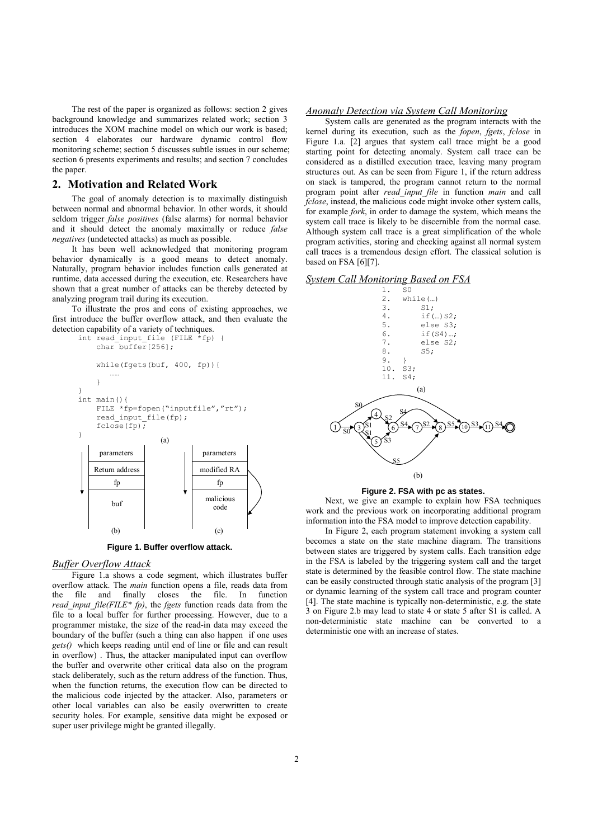The rest of the paper is organized as follows: section 2 gives background knowledge and summarizes related work; section 3 introduces the XOM machine model on which our work is based; section 4 elaborates our hardware dynamic control flow monitoring scheme; section 5 discusses subtle issues in our scheme; section 6 presents experiments and results; and section 7 concludes the paper.

# **2. Motivation and Related Work**

The goal of anomaly detection is to maximally distinguish between normal and abnormal behavior. In other words, it should seldom trigger *false positives* (false alarms) for normal behavior and it should detect the anomaly maximally or reduce *false negatives* (undetected attacks) as much as possible.

It has been well acknowledged that monitoring program behavior dynamically is a good means to detect anomaly. Naturally, program behavior includes function calls generated at runtime, data accessed during the execution, etc. Researchers have shown that a great number of attacks can be thereby detected by analyzing program trail during its execution.

To illustrate the pros and cons of existing approaches, we first introduce the buffer overflow attack, and then evaluate the detection capability of a variety of techniques.



**Figure 1. Buffer overflow attack.** 

#### *Buffer Overflow Attack*

Figure 1.a shows a code segment, which illustrates buffer overflow attack. The *main* function opens a file, reads data from the file and finally closes the file. In function *read\_input\_file(FILE\* fp)*, the *fgets* function reads data from the file to a local buffer for further processing. However, due to a programmer mistake, the size of the read-in data may exceed the boundary of the buffer (such a thing can also happen if one uses *gets()* which keeps reading until end of line or file and can result in overflow) . Thus, the attacker manipulated input can overflow the buffer and overwrite other critical data also on the program stack deliberately, such as the return address of the function. Thus, when the function returns, the execution flow can be directed to the malicious code injected by the attacker. Also, parameters or other local variables can also be easily overwritten to create security holes. For example, sensitive data might be exposed or super user privilege might be granted illegally.

#### *Anomaly Detection via System Call Monitoring*

System calls are generated as the program interacts with the kernel during its execution, such as the *fopen*, *fgets*, *fclose* in Figure 1.a. [2] argues that system call trace might be a good starting point for detecting anomaly. System call trace can be considered as a distilled execution trace, leaving many program structures out. As can be seen from Figure 1, if the return address on stack is tampered, the program cannot return to the normal program point after *read\_input\_file* in function *main* and call *fclose*, instead, the malicious code might invoke other system calls, for example *fork*, in order to damage the system, which means the system call trace is likely to be discernible from the normal case. Although system call trace is a great simplification of the whole program activities, storing and checking against all normal system call traces is a tremendous design effort. The classical solution is based on FSA [6][7].





**Figure 2. FSA with pc as states.** 

Next, we give an example to explain how FSA techniques work and the previous work on incorporating additional program information into the FSA model to improve detection capability.

In Figure 2, each program statement invoking a system call becomes a state on the state machine diagram. The transitions between states are triggered by system calls. Each transition edge in the FSA is labeled by the triggering system call and the target state is determined by the feasible control flow. The state machine can be easily constructed through static analysis of the program [3] or dynamic learning of the system call trace and program counter [4]. The state machine is typically non-deterministic, e.g. the state 3 on Figure 2.b may lead to state 4 or state 5 after S1 is called. A non-deterministic state machine can be converted to a deterministic one with an increase of states.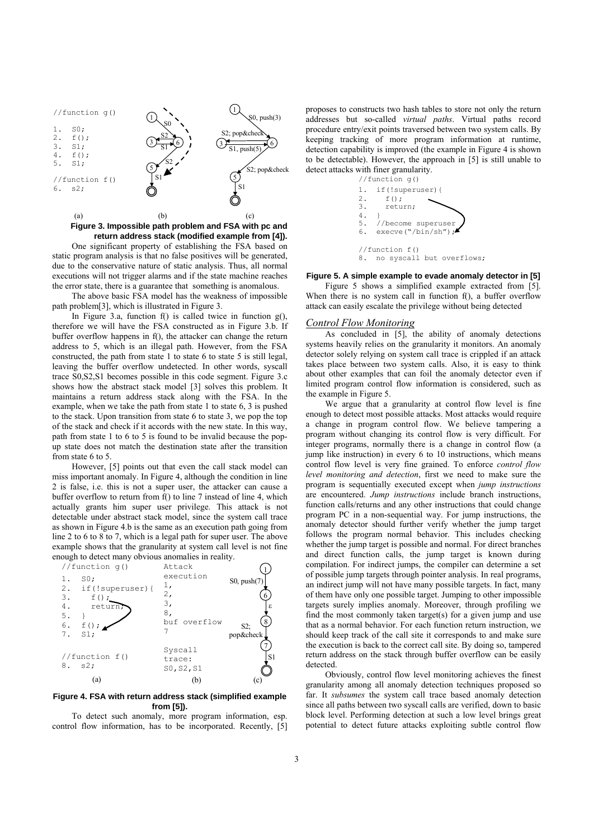

## **Figure 3. Impossible path problem and FSA with pc and return address stack (modified example from [4]).**

One significant property of establishing the FSA based on static program analysis is that no false positives will be generated, due to the conservative nature of static analysis. Thus, all normal executions will not trigger alarms and if the state machine reaches the error state, there is a guarantee that something is anomalous.

The above basic FSA model has the weakness of impossible path problem[3], which is illustrated in Figure 3.

In Figure 3.a, function f() is called twice in function  $g($ ), therefore we will have the FSA constructed as in Figure 3.b. If buffer overflow happens in f(), the attacker can change the return address to 5, which is an illegal path. However, from the FSA constructed, the path from state 1 to state 6 to state 5 is still legal, leaving the buffer overflow undetected. In other words, syscall trace S0,S2,S1 becomes possible in this code segment. Figure 3.c shows how the abstract stack model [3] solves this problem. It maintains a return address stack along with the FSA. In the example, when we take the path from state 1 to state 6, 3 is pushed to the stack. Upon transition from state 6 to state 3, we pop the top of the stack and check if it accords with the new state. In this way, path from state 1 to 6 to 5 is found to be invalid because the popup state does not match the destination state after the transition from state 6 to 5.

However, [5] points out that even the call stack model can miss important anomaly. In Figure 4, although the condition in line 2 is false, i.e. this is not a super user, the attacker can cause a buffer overflow to return from f() to line 7 instead of line 4, which actually grants him super user privilege. This attack is not detectable under abstract stack model, since the system call trace as shown in Figure 4.b is the same as an execution path going from line 2 to 6 to 8 to 7, which is a legal path for super user. The above example shows that the granularity at system call level is not fine enough to detect many obvious anomalies in reality.



#### **Figure 4. FSA with return address stack (simplified example from [5]).**

To detect such anomaly, more program information, esp. control flow information, has to be incorporated. Recently, [5] proposes to constructs two hash tables to store not only the return addresses but so-called *virtual paths*. Virtual paths record procedure entry/exit points traversed between two system calls. By keeping tracking of more program information at runtime, detection capability is improved (the example in Figure 4 is shown to be detectable). However, the approach in [5] is still unable to detect attacks with finer granularity.



# **Figure 5. A simple example to evade anomaly detector in [5]**

Figure 5 shows a simplified example extracted from [5]. When there is no system call in function f(), a buffer overflow attack can easily escalate the privilege without being detected

## *Control Flow Monitoring*

As concluded in [5], the ability of anomaly detections systems heavily relies on the granularity it monitors. An anomaly detector solely relying on system call trace is crippled if an attack takes place between two system calls. Also, it is easy to think about other examples that can foil the anomaly detector even if limited program control flow information is considered, such as the example in Figure 5.

We argue that a granularity at control flow level is fine enough to detect most possible attacks. Most attacks would require a change in program control flow. We believe tampering a program without changing its control flow is very difficult. For integer programs, normally there is a change in control flow (a jump like instruction) in every 6 to 10 instructions, which means control flow level is very fine grained. To enforce *control flow level monitoring and detection*, first we need to make sure the program is sequentially executed except when *jump instructions* are encountered. *Jump instructions* include branch instructions, function calls/returns and any other instructions that could change program PC in a non-sequential way. For jump instructions, the anomaly detector should further verify whether the jump target follows the program normal behavior. This includes checking whether the jump target is possible and normal. For direct branches and direct function calls, the jump target is known during compilation. For indirect jumps, the compiler can determine a set of possible jump targets through pointer analysis. In real programs, an indirect jump will not have many possible targets. In fact, many of them have only one possible target. Jumping to other impossible targets surely implies anomaly. Moreover, through profiling we find the most commonly taken target(s) for a given jump and use that as a normal behavior. For each function return instruction, we should keep track of the call site it corresponds to and make sure the execution is back to the correct call site. By doing so, tampered return address on the stack through buffer overflow can be easily detected.

Obviously, control flow level monitoring achieves the finest granularity among all anomaly detection techniques proposed so far. It *subsumes* the system call trace based anomaly detection since all paths between two syscall calls are verified, down to basic block level. Performing detection at such a low level brings great potential to detect future attacks exploiting subtle control flow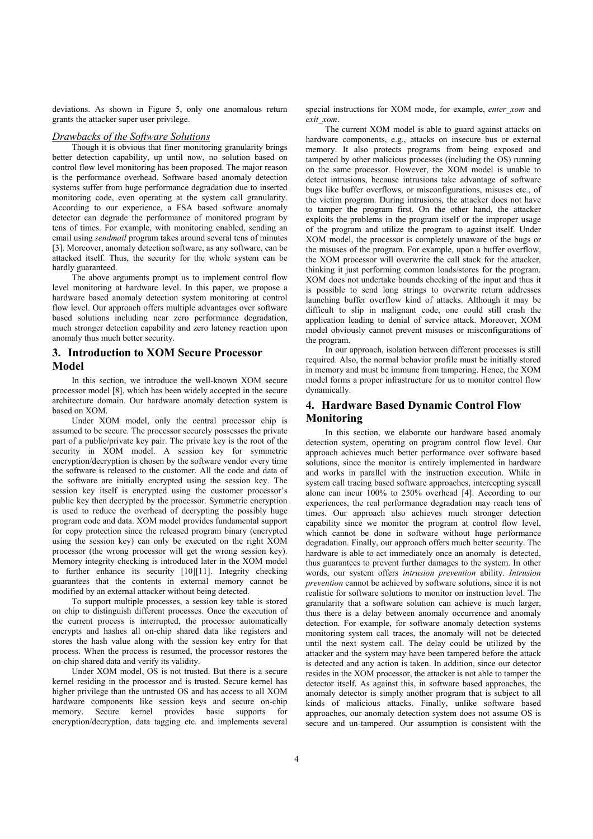deviations. As shown in Figure 5, only one anomalous return grants the attacker super user privilege.

# *Drawbacks of the Software Solutions*

Though it is obvious that finer monitoring granularity brings better detection capability, up until now, no solution based on control flow level monitoring has been proposed. The major reason is the performance overhead. Software based anomaly detection systems suffer from huge performance degradation due to inserted monitoring code, even operating at the system call granularity. According to our experience, a FSA based software anomaly detector can degrade the performance of monitored program by tens of times. For example, with monitoring enabled, sending an email using *sendmail* program takes around several tens of minutes [3]. Moreover, anomaly detection software, as any software, can be attacked itself. Thus, the security for the whole system can be hardly guaranteed.

The above arguments prompt us to implement control flow level monitoring at hardware level. In this paper, we propose a hardware based anomaly detection system monitoring at control flow level. Our approach offers multiple advantages over software based solutions including near zero performance degradation, much stronger detection capability and zero latency reaction upon anomaly thus much better security.

# **3. Introduction to XOM Secure Processor Model**

In this section, we introduce the well-known XOM secure processor model [8], which has been widely accepted in the secure architecture domain. Our hardware anomaly detection system is based on XOM.

Under XOM model, only the central processor chip is assumed to be secure. The processor securely possesses the private part of a public/private key pair. The private key is the root of the security in XOM model. A session key for symmetric encryption/decryption is chosen by the software vendor every time the software is released to the customer. All the code and data of the software are initially encrypted using the session key. The session key itself is encrypted using the customer processor's public key then decrypted by the processor. Symmetric encryption is used to reduce the overhead of decrypting the possibly huge program code and data. XOM model provides fundamental support for copy protection since the released program binary (encrypted using the session key) can only be executed on the right XOM processor (the wrong processor will get the wrong session key). Memory integrity checking is introduced later in the XOM model to further enhance its security [10][11]. Integrity checking guarantees that the contents in external memory cannot be modified by an external attacker without being detected.

To support multiple processes, a session key table is stored on chip to distinguish different processes. Once the execution of the current process is interrupted, the processor automatically encrypts and hashes all on-chip shared data like registers and stores the hash value along with the session key entry for that process. When the process is resumed, the processor restores the on-chip shared data and verify its validity.

Under XOM model, OS is not trusted. But there is a secure kernel residing in the processor and is trusted. Secure kernel has higher privilege than the untrusted OS and has access to all XOM hardware components like session keys and secure on-chip memory. Secure kernel provides basic supports for encryption/decryption, data tagging etc. and implements several

special instructions for XOM mode, for example, *enter xom* and *exit\_xom*.

The current XOM model is able to guard against attacks on hardware components, e.g., attacks on insecure bus or external memory. It also protects programs from being exposed and tampered by other malicious processes (including the OS) running on the same processor. However, the XOM model is unable to detect intrusions, because intrusions take advantage of software bugs like buffer overflows, or misconfigurations, misuses etc., of the victim program. During intrusions, the attacker does not have to tamper the program first. On the other hand, the attacker exploits the problems in the program itself or the improper usage of the program and utilize the program to against itself. Under XOM model, the processor is completely unaware of the bugs or the misuses of the program. For example, upon a buffer overflow, the XOM processor will overwrite the call stack for the attacker, thinking it just performing common loads/stores for the program. XOM does not undertake bounds checking of the input and thus it is possible to send long strings to overwrite return addresses launching buffer overflow kind of attacks. Although it may be difficult to slip in malignant code, one could still crash the application leading to denial of service attack. Moreover, XOM model obviously cannot prevent misuses or misconfigurations of the program.

In our approach, isolation between different processes is still required. Also, the normal behavior profile must be initially stored in memory and must be immune from tampering. Hence, the XOM model forms a proper infrastructure for us to monitor control flow dynamically.

# **4. Hardware Based Dynamic Control Flow Monitoring**

In this section, we elaborate our hardware based anomaly detection system, operating on program control flow level. Our approach achieves much better performance over software based solutions, since the monitor is entirely implemented in hardware and works in parallel with the instruction execution. While in system call tracing based software approaches, intercepting syscall alone can incur 100% to 250% overhead [4]. According to our experiences, the real performance degradation may reach tens of times. Our approach also achieves much stronger detection capability since we monitor the program at control flow level, which cannot be done in software without huge performance degradation. Finally, our approach offers much better security. The hardware is able to act immediately once an anomaly is detected, thus guarantees to prevent further damages to the system. In other words, our system offers *intrusion prevention* ability. *Intrusion prevention* cannot be achieved by software solutions, since it is not realistic for software solutions to monitor on instruction level. The granularity that a software solution can achieve is much larger, thus there is a delay between anomaly occurrence and anomaly detection. For example, for software anomaly detection systems monitoring system call traces, the anomaly will not be detected until the next system call. The delay could be utilized by the attacker and the system may have been tampered before the attack is detected and any action is taken. In addition, since our detector resides in the XOM processor, the attacker is not able to tamper the detector itself. As against this, in software based approaches, the anomaly detector is simply another program that is subject to all kinds of malicious attacks. Finally, unlike software based approaches, our anomaly detection system does not assume OS is secure and un-tampered. Our assumption is consistent with the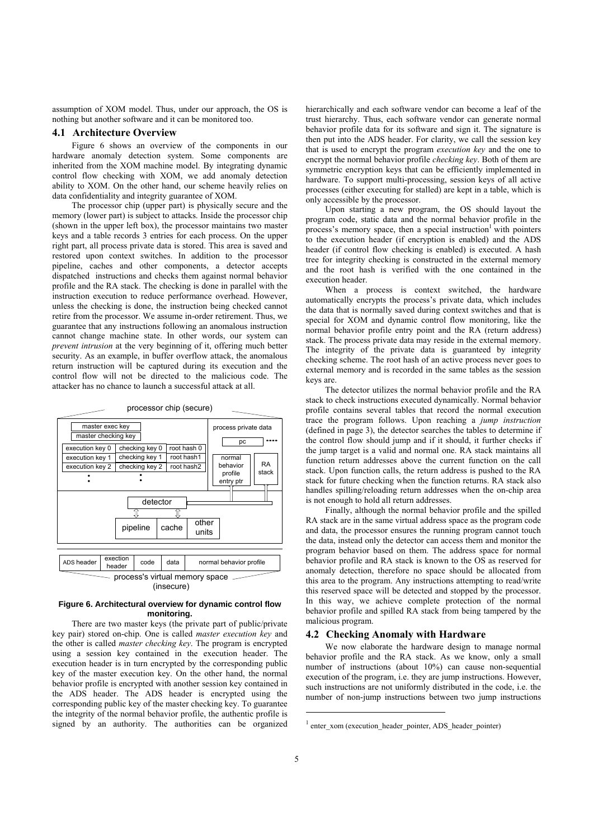assumption of XOM model. Thus, under our approach, the OS is nothing but another software and it can be monitored too.

## **4.1 Architecture Overview**

Figure 6 shows an overview of the components in our hardware anomaly detection system. Some components are inherited from the XOM machine model. By integrating dynamic control flow checking with XOM, we add anomaly detection ability to XOM. On the other hand, our scheme heavily relies on data confidentiality and integrity guarantee of XOM.

The processor chip (upper part) is physically secure and the memory (lower part) is subject to attacks. Inside the processor chip (shown in the upper left box), the processor maintains two master keys and a table records 3 entries for each process. On the upper right part, all process private data is stored. This area is saved and restored upon context switches. In addition to the processor pipeline, caches and other components, a detector accepts dispatched instructions and checks them against normal behavior profile and the RA stack. The checking is done in parallel with the instruction execution to reduce performance overhead. However, unless the checking is done, the instruction being checked cannot retire from the processor. We assume in-order retirement. Thus, we guarantee that any instructions following an anomalous instruction cannot change machine state. In other words, our system can *prevent intrusion* at the very beginning of it, offering much better security. As an example, in buffer overflow attack, the anomalous return instruction will be captured during its execution and the control flow will not be directed to the malicious code. The attacker has no chance to launch a successful attack at all.



#### **Figure 6. Architectural overview for dynamic control flow monitoring.**

There are two master keys (the private part of public/private key pair) stored on-chip. One is called *master execution key* and the other is called *master checking key*. The program is encrypted using a session key contained in the execution header. The execution header is in turn encrypted by the corresponding public key of the master execution key. On the other hand, the normal behavior profile is encrypted with another session key contained in the ADS header. The ADS header is encrypted using the corresponding public key of the master checking key. To guarantee the integrity of the normal behavior profile, the authentic profile is signed by an authority. The authorities can be organized hierarchically and each software vendor can become a leaf of the trust hierarchy. Thus, each software vendor can generate normal behavior profile data for its software and sign it. The signature is then put into the ADS header. For clarity, we call the session key that is used to encrypt the program *execution key* and the one to encrypt the normal behavior profile *checking key*. Both of them are symmetric encryption keys that can be efficiently implemented in hardware. To support multi-processing, session keys of all active processes (either executing for stalled) are kept in a table, which is only accessible by the processor.

Upon starting a new program, the OS should layout the program code, static data and the normal behavior profile in the process's memory space, then a special instruction<sup>1</sup> with pointers to the execution header (if encryption is enabled) and the ADS header (if control flow checking is enabled) is executed. A hash tree for integrity checking is constructed in the external memory and the root hash is verified with the one contained in the execution header.

When a process is context switched, the hardware automatically encrypts the process's private data, which includes the data that is normally saved during context switches and that is special for XOM and dynamic control flow monitoring, like the normal behavior profile entry point and the RA (return address) stack. The process private data may reside in the external memory. The integrity of the private data is guaranteed by integrity checking scheme. The root hash of an active process never goes to external memory and is recorded in the same tables as the session keys are.

The detector utilizes the normal behavior profile and the RA stack to check instructions executed dynamically. Normal behavior profile contains several tables that record the normal execution trace the program follows. Upon reaching a *jump instruction* (defined in page 3), the detector searches the tables to determine if the control flow should jump and if it should, it further checks if the jump target is a valid and normal one. RA stack maintains all function return addresses above the current function on the call stack. Upon function calls, the return address is pushed to the RA stack for future checking when the function returns. RA stack also handles spilling/reloading return addresses when the on-chip area is not enough to hold all return addresses.

Finally, although the normal behavior profile and the spilled RA stack are in the same virtual address space as the program code and data, the processor ensures the running program cannot touch the data, instead only the detector can access them and monitor the program behavior based on them. The address space for normal behavior profile and RA stack is known to the OS as reserved for anomaly detection, therefore no space should be allocated from this area to the program. Any instructions attempting to read/write this reserved space will be detected and stopped by the processor. In this way, we achieve complete protection of the normal behavior profile and spilled RA stack from being tampered by the malicious program.

#### **4.2 Checking Anomaly with Hardware**

We now elaborate the hardware design to manage normal behavior profile and the RA stack. As we know, only a small number of instructions (about 10%) can cause non-sequential execution of the program, i.e. they are jump instructions. However, such instructions are not uniformly distributed in the code, i.e. the number of non-jump instructions between two jump instructions

j

<sup>&</sup>lt;sup>1</sup> enter\_xom (execution\_header\_pointer, ADS\_header\_pointer)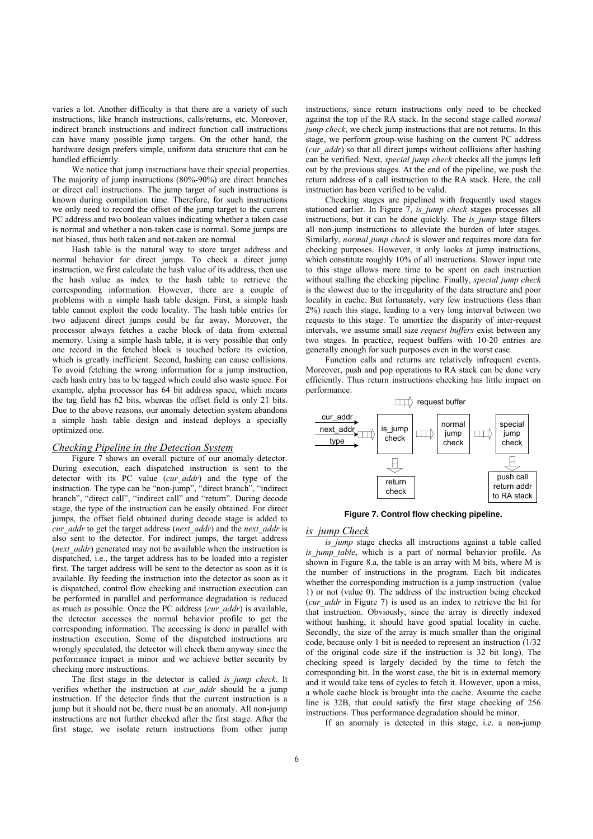varies a lot. Another difficulty is that there are a variety of such instructions, like branch instructions, calls/returns, etc. Moreover, indirect branch instructions and indirect function call instructions can have many possible jump targets. On the other hand, the hardware design prefers simple, uniform data structure that can be handled efficiently.

We notice that jump instructions have their special properties. The majority of jump instructions (80%-90%) are direct branches or direct call instructions. The jump target of such instructions is known during compilation time. Therefore, for such instructions we only need to record the offset of the jump target to the current PC address and two boolean values indicating whether a taken case is normal and whether a non-taken case is normal. Some jumps are not biased, thus both taken and not-taken are normal.

Hash table is the natural way to store target address and normal behavior for direct jumps. To check a direct jump instruction, we first calculate the hash value of its address, then use the hash value as index to the hash table to retrieve the corresponding information. However, there are a couple of problems with a simple hash table design. First, a simple hash table cannot exploit the code locality. The hash table entries for two adjacent direct jumps could be far away. Moreover, the processor always fetches a cache block of data from external memory. Using a simple hash table, it is very possible that only one record in the fetched block is touched before its eviction, which is greatly inefficient. Second, hashing can cause collisions. To avoid fetching the wrong information for a jump instruction, each hash entry has to be tagged which could also waste space. For example, alpha processor has 64 bit address space, which means the tag field has 62 bits, whereas the offset field is only 21 bits. Due to the above reasons, our anomaly detection system abandons a simple hash table design and instead deploys a specially optimized one.

## *Checking Pipeline in the Detection System*

Figure 7 shows an overall picture of our anomaly detector. During execution, each dispatched instruction is sent to the detector with its PC value (*cur\_addr*) and the type of the instruction. The type can be "non-jump", "direct branch", "indirect branch", "direct call", "indirect call" and "return". During decode stage, the type of the instruction can be easily obtained. For direct jumps, the offset field obtained during decode stage is added to *cur\_addr* to get the target address (*next\_addr*) and the *next\_addr* is also sent to the detector. For indirect jumps, the target address (*next addr*) generated may not be available when the instruction is dispatched, i.e., the target address has to be loaded into a register first. The target address will be sent to the detector as soon as it is available. By feeding the instruction into the detector as soon as it is dispatched, control flow checking and instruction execution can be performed in parallel and performance degradation is reduced as much as possible. Once the PC address (*cur\_addr*) is available, the detector accesses the normal behavior profile to get the corresponding information. The accessing is done in parallel with instruction execution. Some of the dispatched instructions are wrongly speculated, the detector will check them anyway since the performance impact is minor and we achieve better security by checking more instructions.

The first stage in the detector is called *is\_jump check*. It verifies whether the instruction at *cur\_addr* should be a jump instruction. If the detector finds that the current instruction is a jump but it should not be, there must be an anomaly. All non-jump instructions are not further checked after the first stage. After the first stage, we isolate return instructions from other jump

instructions, since return instructions only need to be checked against the top of the RA stack. In the second stage called *normal jump check*, we check jump instructions that are not returns. In this stage, we perform group-wise hashing on the current PC address (*cur\_addr*) so that all direct jumps without collisions after hashing can be verified. Next, *special jump check* checks all the jumps left out by the previous stages. At the end of the pipeline, we push the return address of a call instruction to the RA stack. Here, the call instruction has been verified to be valid.

Checking stages are pipelined with frequently used stages stationed earlier. In Figure 7, *is\_jump check* stages processes all instructions, but it can be done quickly. The *is jump* stage filters all non-jump instructions to alleviate the burden of later stages. Similarly, *normal jump check* is slower and requires more data for checking purposes. However, it only looks at jump instructions, which constitute roughly 10% of all instructions. Slower input rate to this stage allows more time to be spent on each instruction without stalling the checking pipeline. Finally, *special jump check* is the slowest due to the irregularity of the data structure and poor locality in cache. But fortunately, very few instructions (less than 2%) reach this stage, leading to a very long interval between two requests to this stage. To amortize the disparity of inter-request intervals, we assume small size *request buffers* exist between any two stages. In practice, request buffers with 10-20 entries are generally enough for such purposes even in the worst case.

Function calls and returns are relatively infrequent events. Moreover, push and pop operations to RA stack can be done very efficiently. Thus return instructions checking has little impact on performance.



**Figure 7. Control flow checking pipeline.** 

# *is\_jump Check*

*is jump* stage checks all instructions against a table called *is jump table*, which is a part of normal behavior profile. As shown in Figure 8.a, the table is an array with M bits, where M is the number of instructions in the program. Each bit indicates whether the corresponding instruction is a jump instruction (value 1) or not (value 0). The address of the instruction being checked (*cur\_addr* in Figure 7) is used as an index to retrieve the bit for that instruction. Obviously, since the array is directly indexed without hashing, it should have good spatial locality in cache. Secondly, the size of the array is much smaller than the original code, because only 1 bit is needed to represent an instruction (1/32 of the original code size if the instruction is 32 bit long). The checking speed is largely decided by the time to fetch the corresponding bit. In the worst case, the bit is in external memory and it would take tens of cycles to fetch it. However, upon a miss, a whole cache block is brought into the cache. Assume the cache line is 32B, that could satisfy the first stage checking of 256 instructions. Thus performance degradation should be minor.

If an anomaly is detected in this stage, i.e. a non-jump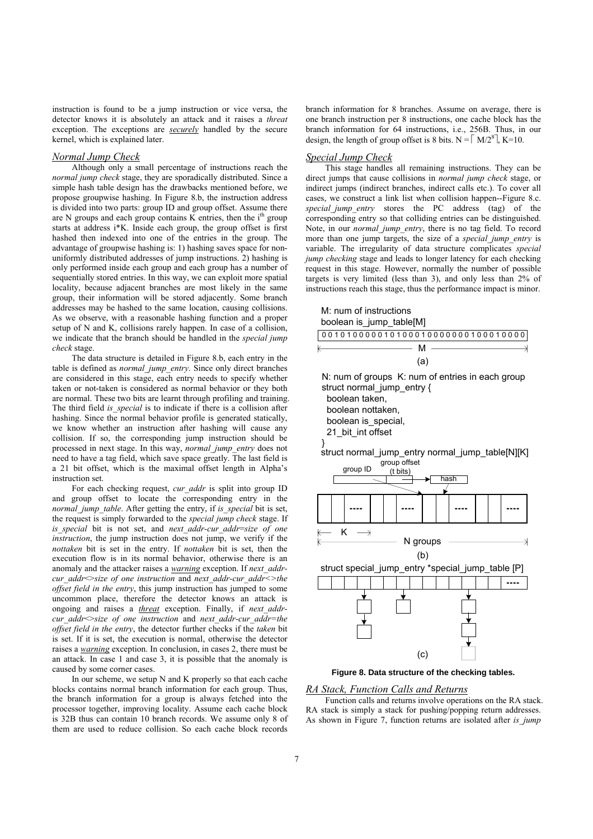instruction is found to be a jump instruction or vice versa, the detector knows it is absolutely an attack and it raises a *threat* exception. The exceptions are *securely* handled by the secure kernel, which is explained later.

# *Normal Jump Check*

Although only a small percentage of instructions reach the *normal jump check* stage, they are sporadically distributed. Since a simple hash table design has the drawbacks mentioned before, we propose groupwise hashing. In Figure 8.b, the instruction address is divided into two parts: group ID and group offset. Assume there are N groups and each group contains K entries, then the  $i<sup>th</sup>$  group starts at address i\*K. Inside each group, the group offset is first hashed then indexed into one of the entries in the group. The advantage of groupwise hashing is: 1) hashing saves space for nonuniformly distributed addresses of jump instructions. 2) hashing is only performed inside each group and each group has a number of sequentially stored entries. In this way, we can exploit more spatial locality, because adjacent branches are most likely in the same group, their information will be stored adjacently. Some branch addresses may be hashed to the same location, causing collisions. As we observe, with a reasonable hashing function and a proper setup of N and K, collisions rarely happen. In case of a collision, we indicate that the branch should be handled in the *special jump check* stage.

The data structure is detailed in Figure 8.b, each entry in the table is defined as *normal\_jump\_entry*. Since only direct branches are considered in this stage, each entry needs to specify whether taken or not-taken is considered as normal behavior or they both are normal. These two bits are learnt through profiling and training. The third field *is\_special* is to indicate if there is a collision after hashing. Since the normal behavior profile is generated statically, we know whether an instruction after hashing will cause any collision. If so, the corresponding jump instruction should be processed in next stage. In this way, *normal\_jump\_entry* does not need to have a tag field, which save space greatly. The last field is a 21 bit offset, which is the maximal offset length in Alpha's instruction set.

For each checking request, *cur\_addr* is split into group ID and group offset to locate the corresponding entry in the *normal jump table.* After getting the entry, if *is special* bit is set, the request is simply forwarded to the *special jump check* stage. If *is\_special* bit is not set, and *next\_addr-cur\_addr*=*size of one instruction*, the jump instruction does not jump, we verify if the *nottaken* bit is set in the entry. If *nottaken* bit is set, then the execution flow is in its normal behavior, otherwise there is an anomaly and the attacker raises a *warning* exception. If *next\_addrcur\_addr* $\leq$ size of one instruction and next\_addr-cur\_addr $\leq$ the *offset field in the entry*, this jump instruction has jumped to some uncommon place, therefore the detector knows an attack is ongoing and raises a *threat* exception. Finally, if *next\_addrcur\_addr*<>*size of one instruction* and *next\_addr-cur\_addr=the offset field in the entry*, the detector further checks if the *taken* bit is set. If it is set, the execution is normal, otherwise the detector raises a *warning* exception. In conclusion, in cases 2, there must be an attack. In case 1 and case 3, it is possible that the anomaly is caused by some corner cases.

In our scheme, we setup N and K properly so that each cache blocks contains normal branch information for each group. Thus, the branch information for a group is always fetched into the processor together, improving locality. Assume each cache block is 32B thus can contain 10 branch records. We assume only 8 of them are used to reduce collision. So each cache block records

branch information for 8 branches. Assume on average, there is one branch instruction per 8 instructions, one cache block has the branch information for 64 instructions, i.e., 256B. Thus, in our design, the length of group offset is 8 bits.  $N = \lceil M/2^8 \rceil$ , K=10.

#### *Special Jump Check*

This stage handles all remaining instructions. They can be direct jumps that cause collisions in *normal jump check* stage, or indirect jumps (indirect branches, indirect calls etc.). To cover all cases, we construct a link list when collision happen--Figure 8.c. *special\_jump\_entry* stores the PC address (tag) of the corresponding entry so that colliding entries can be distinguished. Note, in our *normal\_jump\_entry*, there is no tag field. To record more than one jump targets, the size of a *special jump entry* is variable. The irregularity of data structure complicates *special jump checking* stage and leads to longer latency for each checking request in this stage. However, normally the number of possible targets is very limited (less than 3), and only less than 2% of instructions reach this stage, thus the performance impact is minor.



**Figure 8. Data structure of the checking tables.** 

## *RA Stack, Function Calls and Returns*

Function calls and returns involve operations on the RA stack. RA stack is simply a stack for pushing/popping return addresses. As shown in Figure 7, function returns are isolated after *is\_jump*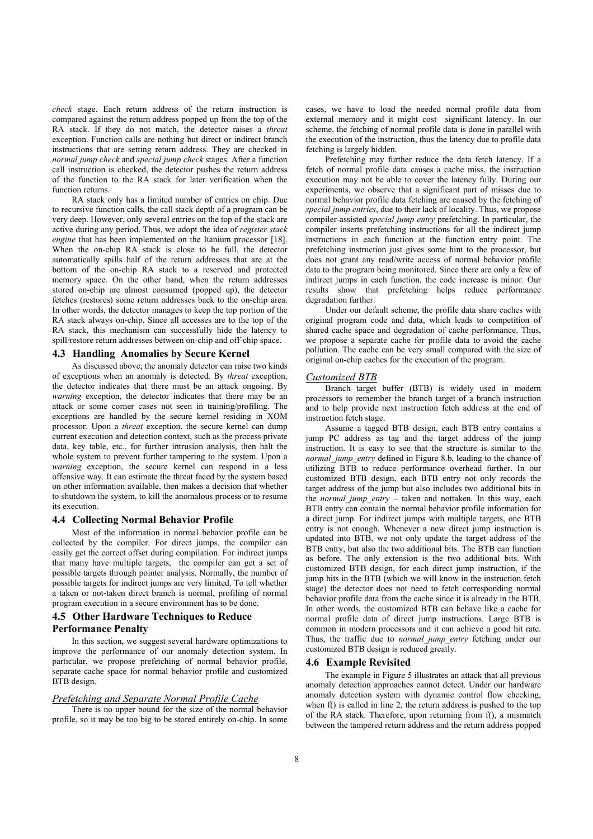*check* stage. Each return address of the return instruction is compared against the return address popped up from the top of the RA stack. If they do not match, the detector raises a *threat* exception. Function calls are nothing but direct or indirect branch instructions that are setting return address. They are checked in *normal jump check* and *special jump check* stages. After a function call instruction is checked, the detector pushes the return address of the function to the RA stack for later verification when the function returns.

RA stack only has a limited number of entries on chip. Due to recursive function calls, the call stack depth of a program can be very deep. However, only several entries on the top of the stack are active during any period. Thus, we adopt the idea of *register stack engine* that has been implemented on the Itanium processor [18]. When the on-chip RA stack is close to be full, the detector automatically spills half of the return addresses that are at the bottom of the on-chip RA stack to a reserved and protected memory space. On the other hand, when the return addresses stored on-chip are almost consumed (popped up), the detector fetches (restores) some return addresses back to the on-chip area. In other words, the detector manages to keep the top portion of the RA stack always on-chip. Since all accesses are to the top of the RA stack, this mechanism can successfully hide the latency to spill/restore return addresses between on-chip and off-chip space.

## **4.3 Handling Anomalies by Secure Kernel**

As discussed above, the anomaly detector can raise two kinds of exceptions when an anomaly is detected. By *threat* exception, the detector indicates that there must be an attack ongoing. By *warning* exception, the detector indicates that there may be an attack or some corner cases not seen in training/profiling. The exceptions are handled by the secure kernel residing in XOM processor. Upon a *threat* exception, the secure kernel can dump current execution and detection context, such as the process private data, key table, etc., for further intrusion analysis, then halt the whole system to prevent further tampering to the system. Upon a *warning* exception, the secure kernel can respond in a less offensive way. It can estimate the threat faced by the system based on other information available, then makes a decision that whether to shutdown the system, to kill the anomalous process or to resume its execution.

#### **4.4 Collecting Normal Behavior Profile**

Most of the information in normal behavior profile can be collected by the compiler. For direct jumps, the compiler can easily get the correct offset during compilation. For indirect jumps that many have multiple targets, the compiler can get a set of possible targets through pointer analysis. Normally, the number of possible targets for indirect jumps are very limited. To tell whether a taken or not-taken direct branch is normal, profiling of normal program execution in a secure environment has to be done.

# **4.5 Other Hardware Techniques to Reduce Performance Penalty**

In this section, we suggest several hardware optimizations to improve the performance of our anomaly detection system. In particular, we propose prefetching of normal behavior profile, separate cache space for normal behavior profile and customized BTB design.

#### *Prefetching and Separate Normal Profile Cache*

There is no upper bound for the size of the normal behavior profile, so it may be too big to be stored entirely on-chip. In some cases, we have to load the needed normal profile data from external memory and it might cost significant latency. In our scheme, the fetching of normal profile data is done in parallel with the execution of the instruction, thus the latency due to profile data fetching is largely hidden.

Prefetching may further reduce the data fetch latency. If a fetch of normal profile data causes a cache miss, the instruction execution may not be able to cover the latency fully. During our experiments, we observe that a significant part of misses due to normal behavior profile data fetching are caused by the fetching of *special jump entries*, due to their lack of locality. Thus, we propose compiler-assisted *special jump entry* prefetching. In particular, the compiler inserts prefetching instructions for all the indirect jump instructions in each function at the function entry point. The prefetching instruction just gives some hint to the processor, but does not grant any read/write access of normal behavior profile data to the program being monitored. Since there are only a few of indirect jumps in each function, the code increase is minor. Our results show that prefetching helps reduce performance degradation further.

Under our default scheme, the profile data share caches with original program code and data, which leads to competition of shared cache space and degradation of cache performance. Thus, we propose a separate cache for profile data to avoid the cache pollution. The cache can be very small compared with the size of original on-chip caches for the execution of the program.

#### *Customized BTB*

Branch target buffer (BTB) is widely used in modern processors to remember the branch target of a branch instruction and to help provide next instruction fetch address at the end of instruction fetch stage.

Assume a tagged BTB design, each BTB entry contains a jump PC address as tag and the target address of the jump instruction. It is easy to see that the structure is similar to the *normal jump\_entry* defined in Figure 8.b, leading to the chance of utilizing BTB to reduce performance overhead further. In our customized BTB design, each BTB entry not only records the target address of the jump but also includes two additional bits in the *normal\_jump\_entry –* taken and nottaken*.* In this way, each BTB entry can contain the normal behavior profile information for a direct jump. For indirect jumps with multiple targets, one BTB entry is not enough. Whenever a new direct jump instruction is updated into BTB, we not only update the target address of the BTB entry, but also the two additional bits. The BTB can function as before. The only extension is the two additional bits. With customized BTB design, for each direct jump instruction, if the jump hits in the BTB (which we will know in the instruction fetch stage) the detector does not need to fetch corresponding normal behavior profile data from the cache since it is already in the BTB. In other words, the customized BTB can behave like a cache for normal profile data of direct jump instructions. Large BTB is common in modern processors and it can achieve a good hit rate. Thus, the traffic due to *normal\_jump\_entry* fetching under our customized BTB design is reduced greatly.

#### **4.6 Example Revisited**

The example in Figure 5 illustrates an attack that all previous anomaly detection approaches cannot detect. Under our hardware anomaly detection system with dynamic control flow checking, when  $f()$  is called in line 2, the return address is pushed to the top of the RA stack. Therefore, upon returning from f(), a mismatch between the tampered return address and the return address popped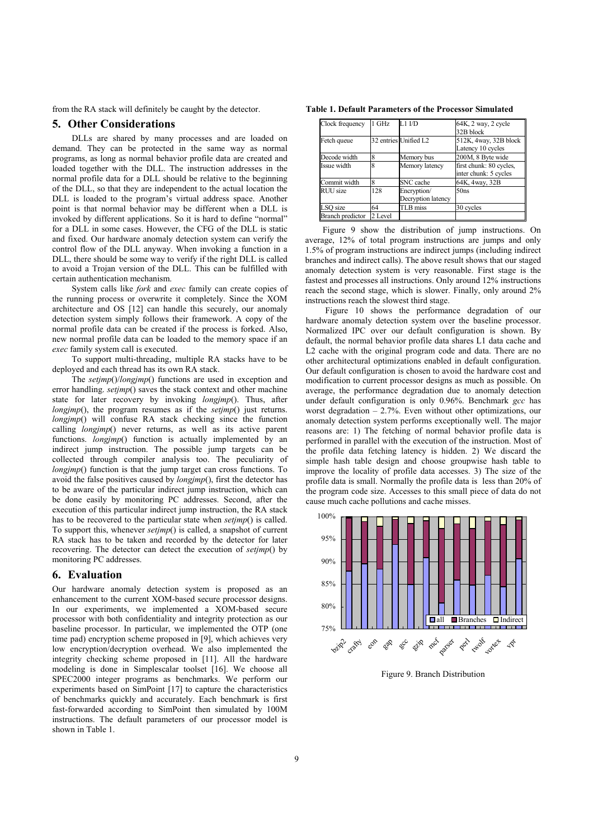from the RA stack will definitely be caught by the detector.

# **5. Other Considerations**

DLLs are shared by many processes and are loaded on demand. They can be protected in the same way as normal programs, as long as normal behavior profile data are created and loaded together with the DLL. The instruction addresses in the normal profile data for a DLL should be relative to the beginning of the DLL, so that they are independent to the actual location the DLL is loaded to the program's virtual address space. Another point is that normal behavior may be different when a DLL is invoked by different applications. So it is hard to define "normal" for a DLL in some cases. However, the CFG of the DLL is static and fixed. Our hardware anomaly detection system can verify the control flow of the DLL anyway. When invoking a function in a DLL, there should be some way to verify if the right DLL is called to avoid a Trojan version of the DLL. This can be fulfilled with certain authentication mechanism.

System calls like *fork* and *exec* family can create copies of the running process or overwrite it completely. Since the XOM architecture and OS [12] can handle this securely, our anomaly detection system simply follows their framework. A copy of the normal profile data can be created if the process is forked. Also, new normal profile data can be loaded to the memory space if an *exec* family system call is executed.

To support multi-threading, multiple RA stacks have to be deployed and each thread has its own RA stack.

The *setjmp*()/*longjmp*() functions are used in exception and error handling. *setjmp*() saves the stack context and other machine state for later recovery by invoking *longjmp*(). Thus, after *longjmp*(), the program resumes as if the *setjmp*() just returns. *longjmp*() will confuse RA stack checking since the function calling *longjmp*() never returns, as well as its active parent functions. *longjmp*() function is actually implemented by an indirect jump instruction. The possible jump targets can be collected through compiler analysis too. The peculiarity of *longjmp*() function is that the jump target can cross functions. To avoid the false positives caused by *longjmp*(), first the detector has to be aware of the particular indirect jump instruction, which can be done easily by monitoring PC addresses. Second, after the execution of this particular indirect jump instruction, the RA stack has to be recovered to the particular state when *setjmp*() is called. To support this, whenever *setjmp*() is called, a snapshot of current RA stack has to be taken and recorded by the detector for later recovering. The detector can detect the execution of *setjmp*() by monitoring PC addresses.

# **6. Evaluation**

Our hardware anomaly detection system is proposed as an enhancement to the current XOM-based secure processor designs. In our experiments, we implemented a XOM-based secure processor with both confidentiality and integrity protection as our baseline processor. In particular, we implemented the OTP (one time pad) encryption scheme proposed in [9], which achieves very low encryption/decryption overhead. We also implemented the integrity checking scheme proposed in [11]. All the hardware modeling is done in Simplescalar toolset [16]. We choose all SPEC2000 integer programs as benchmarks. We perform our experiments based on SimPoint [17] to capture the characteristics of benchmarks quickly and accurately. Each benchmark is first fast-forwarded according to SimPoint then simulated by 100M instructions. The default parameters of our processor model is shown in Table 1.

| <b>Table 1. Default Parameters of the Processor Simulated</b> |  |
|---------------------------------------------------------------|--|
|---------------------------------------------------------------|--|

| Clock frequency         | 1 GHz   | $L1$ $I/D$            | 64K, 2 way, 2 cycle     |
|-------------------------|---------|-----------------------|-------------------------|
|                         |         |                       | 32B block               |
| Fetch queue             |         | 32 entries Unified L2 | 512K, 4way, 32B block   |
|                         |         |                       | Latency 10 cycles       |
| Decode width            |         | Memory bus            | 200M, 8 Byte wide       |
| Issue width             | 8       | Memory latency        | first chunk: 80 cycles, |
|                         |         |                       | inter chunk: 5 cycles   |
| Commit width            | 8       | SNC cache             | 64K, 4way, 32B          |
| <b>RUU</b> size         | 128     | Encryption/           | 50ns                    |
|                         |         | Decryption latency    |                         |
| LSQ size                | 64      | TLB miss              | 30 cycles               |
| <b>Branch</b> predictor | 2 Level |                       |                         |

Figure 9 show the distribution of jump instructions. On average, 12% of total program instructions are jumps and only 1.5% of program instructions are indirect jumps (including indirect branches and indirect calls). The above result shows that our staged anomaly detection system is very reasonable. First stage is the fastest and processes all instructions. Only around 12% instructions reach the second stage, which is slower. Finally, only around 2% instructions reach the slowest third stage.

Figure 10 shows the performance degradation of our hardware anomaly detection system over the baseline processor. Normalized IPC over our default configuration is shown. By default, the normal behavior profile data shares L1 data cache and L2 cache with the original program code and data. There are no other architectural optimizations enabled in default configuration. Our default configuration is chosen to avoid the hardware cost and modification to current processor designs as much as possible. On average, the performance degradation due to anomaly detection under default configuration is only 0.96%. Benchmark *gcc* has worst degradation – 2.7%. Even without other optimizations, our anomaly detection system performs exceptionally well. The major reasons are: 1) The fetching of normal behavior profile data is performed in parallel with the execution of the instruction. Most of the profile data fetching latency is hidden. 2) We discard the simple hash table design and choose groupwise hash table to improve the locality of profile data accesses. 3) The size of the profile data is small. Normally the profile data is less than 20% of the program code size. Accesses to this small piece of data do not cause much cache pollutions and cache misses.



Figure 9. Branch Distribution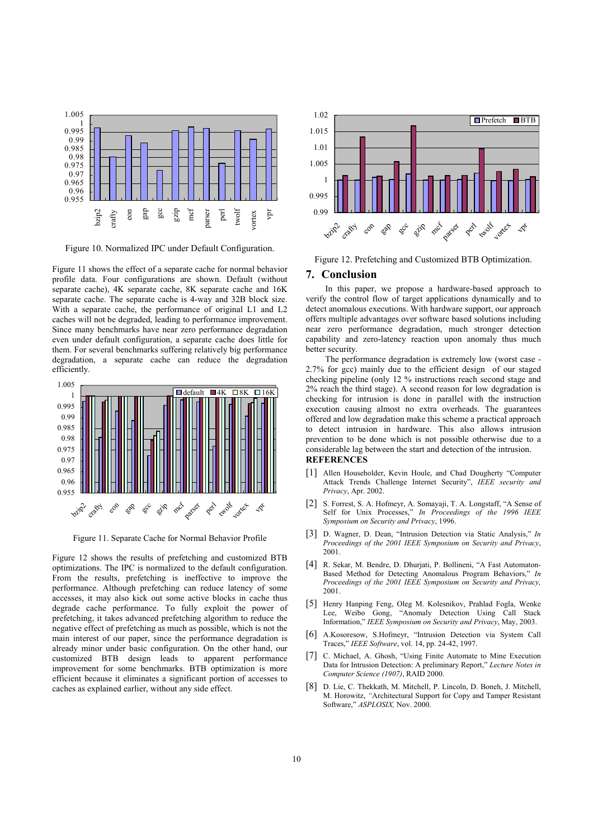

Figure 10. Normalized IPC under Default Configuration.

Figure 11 shows the effect of a separate cache for normal behavior profile data. Four configurations are shown. Default (without separate cache), 4K separate cache, 8K separate cache and 16K separate cache. The separate cache is 4-way and 32B block size. With a separate cache, the performance of original L1 and L2 caches will not be degraded, leading to performance improvement. Since many benchmarks have near zero performance degradation even under default configuration, a separate cache does little for them. For several benchmarks suffering relatively big performance degradation, a separate cache can reduce the degradation efficiently.



Figure 11. Separate Cache for Normal Behavior Profile

Figure 12 shows the results of prefetching and customized BTB optimizations. The IPC is normalized to the default configuration. From the results, prefetching is ineffective to improve the performance. Although prefetching can reduce latency of some accesses, it may also kick out some active blocks in cache thus degrade cache performance. To fully exploit the power of prefetching, it takes advanced prefetching algorithm to reduce the negative effect of prefetching as much as possible, which is not the main interest of our paper, since the performance degradation is already minor under basic configuration. On the other hand, our customized BTB design leads to apparent performance improvement for some benchmarks. BTB optimization is more efficient because it eliminates a significant portion of accesses to caches as explained earlier, without any side effect.



Figure 12. Prefetching and Customized BTB Optimization.

#### **7. Conclusion**

In this paper, we propose a hardware-based approach to verify the control flow of target applications dynamically and to detect anomalous executions. With hardware support, our approach offers multiple advantages over software based solutions including near zero performance degradation, much stronger detection capability and zero-latency reaction upon anomaly thus much better security.

The performance degradation is extremely low (worst case - 2.7% for gcc) mainly due to the efficient design of our staged checking pipeline (only 12 % instructions reach second stage and 2% reach the third stage). A second reason for low degradation is checking for intrusion is done in parallel with the instruction execution causing almost no extra overheads. The guarantees offered and low degradation make this scheme a practical approach to detect intrusion in hardware. This also allows intrusion prevention to be done which is not possible otherwise due to a considerable lag between the start and detection of the intrusion.

# **REFERENCES**

- [1] Allen Householder, Kevin Houle, and Chad Dougherty "Computer Attack Trends Challenge Internet Security", *IEEE security and Privacy*, Apr. 2002.
- [2] S. Forrest, S. A. Hofmeyr, A. Somayaji, T. A. Longstaff, "A Sense of Self for Unix Processes," *In Proceedings of the 1996 IEEE Symposium on Security and Privacy*, 1996.
- [3] D. Wagner, D. Dean, "Intrusion Detection via Static Analysis," *In Proceedings of the 2001 IEEE Symposium on Security and Privacy*, 2001.
- [4] R. Sekar, M. Bendre, D. Dhurjati, P. Bollineni, "A Fast Automaton-Based Method for Detecting Anomalous Program Behaviors," *In Proceedings of the 2001 IEEE Symposium on Security and Privacy,* 2001.
- [5] Henry Hanping Feng, Oleg M. Kolesnikov, Prahlad Fogla, Wenke Lee, Weibo Gong, "Anomaly Detection Using Call Stack Information," *IEEE Symposium on Security and Privacy*, May, 2003.
- [6] A.Kosoresow, S.Hofmeyr, "Intrusion Detection via System Call Traces," *IEEE Software*, vol. 14, pp. 24-42, 1997.
- [7] C. Michael, A. Ghosh, "Using Finite Automate to Mine Execution Data for Intrusion Detection: A preliminary Report," *Lecture Notes in Computer Science (1907)*, RAID 2000.
- [8] D. Lie, C. Thekkath, M. Mitchell, P. Lincoln, D. Boneh, J. Mitchell, M. Horowitz, *"*Architectural Support for Copy and Tamper Resistant Software," *ASPLOSIX,* Nov. 2000.